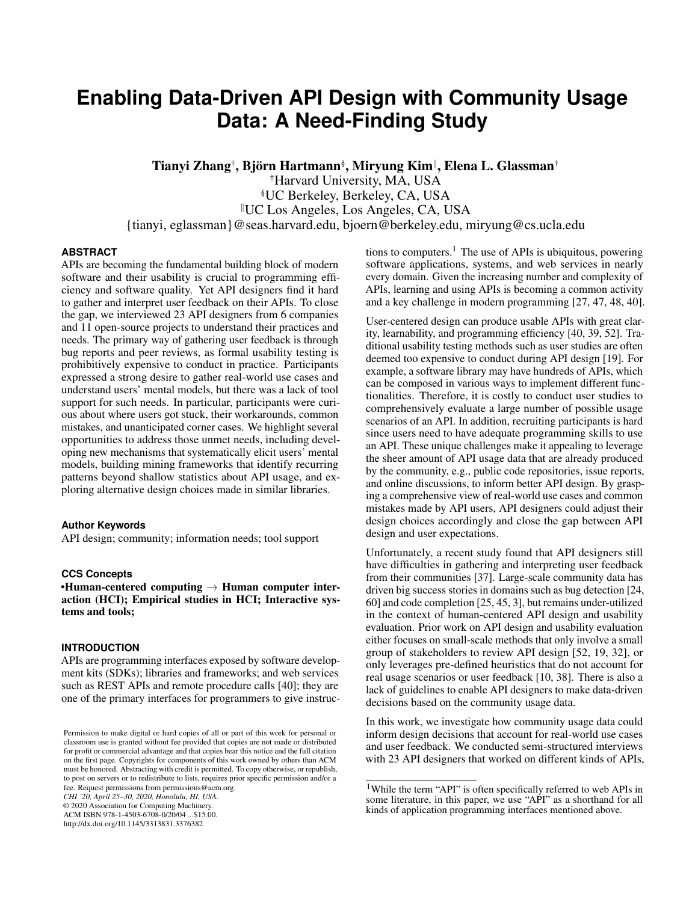# **Enabling Data-Driven API Design with Community Usage Data: A Need-Finding Study**

Tianyi Zhang†, Björn Hartmann§, Miryung Kim∥, Elena L. Glassman†

†Harvard University, MA, USA §UC Berkeley, Berkeley, CA, USA <sup>k</sup>UC Los Angeles, Los Angeles, CA, USA {tianyi, eglassman}@seas.harvard.edu, bjoern@berkeley.edu, miryung@cs.ucla.edu

#### **ABSTRACT**

APIs are becoming the fundamental building block of modern software and their usability is crucial to programming efficiency and software quality. Yet API designers find it hard to gather and interpret user feedback on their APIs. To close the gap, we interviewed 23 API designers from 6 companies and 11 open-source projects to understand their practices and needs. The primary way of gathering user feedback is through bug reports and peer reviews, as formal usability testing is prohibitively expensive to conduct in practice. Participants expressed a strong desire to gather real-world use cases and understand users' mental models, but there was a lack of tool support for such needs. In particular, participants were curious about where users got stuck, their workarounds, common mistakes, and unanticipated corner cases. We highlight several opportunities to address those unmet needs, including developing new mechanisms that systematically elicit users' mental models, building mining frameworks that identify recurring patterns beyond shallow statistics about API usage, and exploring alternative design choices made in similar libraries.

#### **Author Keywords**

API design; community; information needs; tool support

#### **CCS Concepts**

•Human-centered computing  $\rightarrow$  Human computer interaction (HCI); Empirical studies in HCI; Interactive systems and tools;

#### **INTRODUCTION**

APIs are programming interfaces exposed by software development kits (SDKs); libraries and frameworks; and web services such as REST APIs and remote procedure calls [\[40\]](#page-11-0); they are one of the primary interfaces for programmers to give instruc-

*CHI '20, April 25–30, 2020, Honolulu, HI, USA.*

© 2020 Association for Computing Machinery.

ACM ISBN 978-1-4503-6708-0/20/04 ...\$15.00. http://dx.doi.org/10.1145/3313831.3376382

tions to computers.<sup>[1](#page-0-0)</sup> The use of APIs is ubiquitous, powering software applications, systems, and web services in nearly every domain. Given the increasing number and complexity of APIs, learning and using APIs is becoming a common activity and a key challenge in modern programming [\[27,](#page-11-1) [47,](#page-12-0) [48,](#page-12-1) [40\]](#page-11-0).

User-centered design can produce usable APIs with great clarity, learnability, and programming efficiency [\[40,](#page-11-0) [39,](#page-11-2) [52\]](#page-12-2). Traditional usability testing methods such as user studies are often deemed too expensive to conduct during API design [\[19\]](#page-10-0). For example, a software library may have hundreds of APIs, which can be composed in various ways to implement different functionalities. Therefore, it is costly to conduct user studies to comprehensively evaluate a large number of possible usage scenarios of an API. In addition, recruiting participants is hard since users need to have adequate programming skills to use an API. These unique challenges make it appealing to leverage the sheer amount of API usage data that are already produced by the community, e.g., public code repositories, issue reports, and online discussions, to inform better API design. By grasping a comprehensive view of real-world use cases and common mistakes made by API users, API designers could adjust their design choices accordingly and close the gap between API design and user expectations.

Unfortunately, a recent study found that API designers still have difficulties in gathering and interpreting user feedback from their communities [\[37\]](#page-11-3). Large-scale community data has driven big success stories in domains such as bug detection [\[24,](#page-10-1) [60\]](#page-12-3) and code completion [\[25,](#page-11-4) [45,](#page-11-5) [3\]](#page-10-2), but remains under-utilized in the context of human-centered API design and usability evaluation. Prior work on API design and usability evaluation either focuses on small-scale methods that only involve a small group of stakeholders to review API design [\[52,](#page-12-2) [19,](#page-10-0) [32\]](#page-11-6), or only leverages pre-defined heuristics that do not account for real usage scenarios or user feedback [\[10,](#page-10-3) [38\]](#page-11-7). There is also a lack of guidelines to enable API designers to make data-driven decisions based on the community usage data.

In this work, we investigate how community usage data could inform design decisions that account for real-world use cases and user feedback. We conducted semi-structured interviews with 23 API designers that worked on different kinds of APIs,

Permission to make digital or hard copies of all or part of this work for personal or classroom use is granted without fee provided that copies are not made or distributed for profit or commercial advantage and that copies bear this notice and the full citation on the first page. Copyrights for components of this work owned by others than ACM must be honored. Abstracting with credit is permitted. To copy otherwise, or republish, to post on servers or to redistribute to lists, requires prior specific permission and/or a fee. Request permissions from permissions@acm.org.

<span id="page-0-0"></span><sup>&</sup>lt;sup>1</sup>While the term "API" is often specifically referred to web APIs in some literature, in this paper, we use "API" as a shorthand for all kinds of application programming interfaces mentioned above.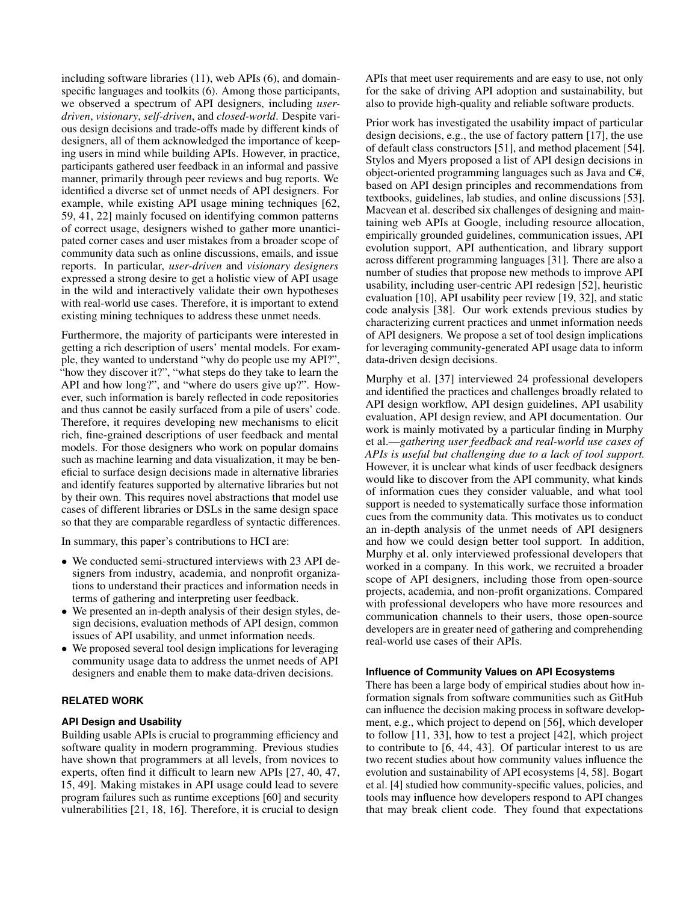including software libraries (11), web APIs (6), and domainspecific languages and toolkits (6). Among those participants, we observed a spectrum of API designers, including *userdriven*, *visionary*, *self-driven*, and *closed-world*. Despite various design decisions and trade-offs made by different kinds of designers, all of them acknowledged the importance of keeping users in mind while building APIs. However, in practice, participants gathered user feedback in an informal and passive manner, primarily through peer reviews and bug reports. We identified a diverse set of unmet needs of API designers. For example, while existing API usage mining techniques [\[62,](#page-12-4) [59,](#page-12-5) [41,](#page-11-8) [22\]](#page-10-4) mainly focused on identifying common patterns of correct usage, designers wished to gather more unanticipated corner cases and user mistakes from a broader scope of community data such as online discussions, emails, and issue reports. In particular, *user-driven* and *visionary designers* expressed a strong desire to get a holistic view of API usage in the wild and interactively validate their own hypotheses with real-world use cases. Therefore, it is important to extend existing mining techniques to address these unmet needs.

Furthermore, the majority of participants were interested in getting a rich description of users' mental models. For example, they wanted to understand "why do people use my API?", "how they discover it?", "what steps do they take to learn the API and how long?", and "where do users give up?". However, such information is barely reflected in code repositories and thus cannot be easily surfaced from a pile of users' code. Therefore, it requires developing new mechanisms to elicit rich, fine-grained descriptions of user feedback and mental models. For those designers who work on popular domains such as machine learning and data visualization, it may be beneficial to surface design decisions made in alternative libraries and identify features supported by alternative libraries but not by their own. This requires novel abstractions that model use cases of different libraries or DSLs in the same design space so that they are comparable regardless of syntactic differences.

In summary, this paper's contributions to HCI are:

- We conducted semi-structured interviews with 23 API designers from industry, academia, and nonprofit organizations to understand their practices and information needs in terms of gathering and interpreting user feedback.
- We presented an in-depth analysis of their design styles, design decisions, evaluation methods of API design, common issues of API usability, and unmet information needs.
- We proposed several tool design implications for leveraging community usage data to address the unmet needs of API designers and enable them to make data-driven decisions.

# **RELATED WORK**

## **API Design and Usability**

Building usable APIs is crucial to programming efficiency and software quality in modern programming. Previous studies have shown that programmers at all levels, from novices to experts, often find it difficult to learn new APIs [\[27,](#page-11-1) [40,](#page-11-0) [47,](#page-12-0) [15,](#page-10-5) [49\]](#page-12-6). Making mistakes in API usage could lead to severe program failures such as runtime exceptions [\[60\]](#page-12-3) and security vulnerabilities [\[21,](#page-10-6) [18,](#page-10-7) [16\]](#page-10-8). Therefore, it is crucial to design

APIs that meet user requirements and are easy to use, not only for the sake of driving API adoption and sustainability, but also to provide high-quality and reliable software products.

Prior work has investigated the usability impact of particular design decisions, e.g., the use of factory pattern [\[17\]](#page-10-9), the use of default class constructors [\[51\]](#page-12-7), and method placement [\[54\]](#page-12-8). Stylos and Myers proposed a list of API design decisions in object-oriented programming languages such as Java and C#, based on API design principles and recommendations from textbooks, guidelines, lab studies, and online discussions [\[53\]](#page-12-9). Macvean et al. described six challenges of designing and maintaining web APIs at Google, including resource allocation, empirically grounded guidelines, communication issues, API evolution support, API authentication, and library support across different programming languages [\[31\]](#page-11-9). There are also a number of studies that propose new methods to improve API usability, including user-centric API redesign [\[52\]](#page-12-2), heuristic evaluation [\[10\]](#page-10-3), API usability peer review [\[19,](#page-10-0) [32\]](#page-11-6), and static code analysis [\[38\]](#page-11-7). Our work extends previous studies by characterizing current practices and unmet information needs of API designers. We propose a set of tool design implications for leveraging community-generated API usage data to inform data-driven design decisions.

Murphy et al. [\[37\]](#page-11-3) interviewed 24 professional developers and identified the practices and challenges broadly related to API design workflow, API design guidelines, API usability evaluation, API design review, and API documentation. Our work is mainly motivated by a particular finding in Murphy et al.—*gathering user feedback and real-world use cases of APIs is useful but challenging due to a lack of tool support.* However, it is unclear what kinds of user feedback designers would like to discover from the API community, what kinds of information cues they consider valuable, and what tool support is needed to systematically surface those information cues from the community data. This motivates us to conduct an in-depth analysis of the unmet needs of API designers and how we could design better tool support. In addition, Murphy et al. only interviewed professional developers that worked in a company. In this work, we recruited a broader scope of API designers, including those from open-source projects, academia, and non-profit organizations. Compared with professional developers who have more resources and communication channels to their users, those open-source developers are in greater need of gathering and comprehending real-world use cases of their APIs.

## **Influence of Community Values on API Ecosystems**

There has been a large body of empirical studies about how information signals from software communities such as GitHub can influence the decision making process in software development, e.g., which project to depend on [\[56\]](#page-12-10), which developer to follow [\[11,](#page-10-10) [33\]](#page-11-10), how to test a project [\[42\]](#page-11-11), which project to contribute to [\[6,](#page-10-11) [44,](#page-11-12) [43\]](#page-11-13). Of particular interest to us are two recent studies about how community values influence the evolution and sustainability of API ecosystems [\[4,](#page-10-12) [58\]](#page-12-11). Bogart et al. [\[4\]](#page-10-12) studied how community-specific values, policies, and tools may influence how developers respond to API changes that may break client code. They found that expectations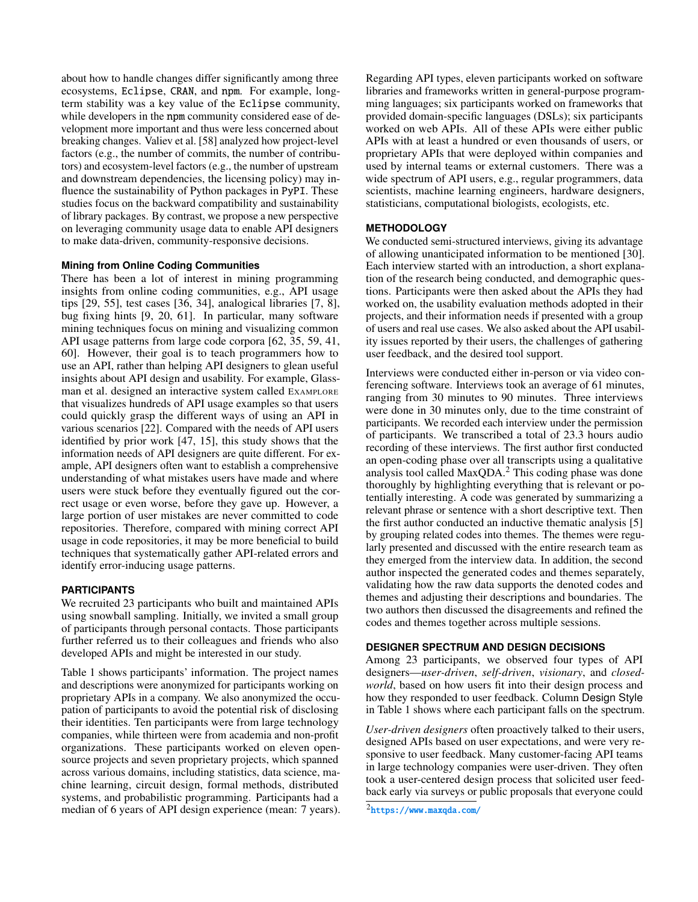about how to handle changes differ significantly among three ecosystems, Eclipse, CRAN, and npm. For example, longterm stability was a key value of the Eclipse community, while developers in the npm community considered ease of development more important and thus were less concerned about breaking changes. Valiev et al. [\[58\]](#page-12-11) analyzed how project-level factors (e.g., the number of commits, the number of contributors) and ecosystem-level factors (e.g., the number of upstream and downstream dependencies, the licensing policy) may influence the sustainability of Python packages in PyPI. These studies focus on the backward compatibility and sustainability of library packages. By contrast, we propose a new perspective on leveraging community usage data to enable API designers to make data-driven, community-responsive decisions.

#### **Mining from Online Coding Communities**

There has been a lot of interest in mining programming insights from online coding communities, e.g., API usage tips [\[29,](#page-11-14) [55\]](#page-12-12), test cases [\[36,](#page-11-15) [34\]](#page-11-16), analogical libraries [\[7,](#page-10-13) [8\]](#page-10-14), bug fixing hints [\[9,](#page-10-15) [20,](#page-10-16) [61\]](#page-12-13). In particular, many software mining techniques focus on mining and visualizing common API usage patterns from large code corpora [\[62,](#page-12-4) [35,](#page-11-17) [59,](#page-12-5) [41,](#page-11-8) [60\]](#page-12-3). However, their goal is to teach programmers how to use an API, rather than helping API designers to glean useful insights about API design and usability. For example, Glassman et al. designed an interactive system called EXAMPLORE that visualizes hundreds of API usage examples so that users could quickly grasp the different ways of using an API in various scenarios [\[22\]](#page-10-4). Compared with the needs of API users identified by prior work [\[47,](#page-12-0) [15\]](#page-10-5), this study shows that the information needs of API designers are quite different. For example, API designers often want to establish a comprehensive understanding of what mistakes users have made and where users were stuck before they eventually figured out the correct usage or even worse, before they gave up. However, a large portion of user mistakes are never committed to code repositories. Therefore, compared with mining correct API usage in code repositories, it may be more beneficial to build techniques that systematically gather API-related errors and identify error-inducing usage patterns.

#### **PARTICIPANTS**

We recruited 23 participants who built and maintained APIs using snowball sampling. Initially, we invited a small group of participants through personal contacts. Those participants further referred us to their colleagues and friends who also developed APIs and might be interested in our study.

Table [1](#page-3-0) shows participants' information. The project names and descriptions were anonymized for participants working on proprietary APIs in a company. We also anonymized the occupation of participants to avoid the potential risk of disclosing their identities. Ten participants were from large technology companies, while thirteen were from academia and non-profit organizations. These participants worked on eleven opensource projects and seven proprietary projects, which spanned across various domains, including statistics, data science, machine learning, circuit design, formal methods, distributed systems, and probabilistic programming. Participants had a median of 6 years of API design experience (mean: 7 years). Regarding API types, eleven participants worked on software libraries and frameworks written in general-purpose programming languages; six participants worked on frameworks that provided domain-specific languages (DSLs); six participants worked on web APIs. All of these APIs were either public APIs with at least a hundred or even thousands of users, or proprietary APIs that were deployed within companies and used by internal teams or external customers. There was a wide spectrum of API users, e.g., regular programmers, data scientists, machine learning engineers, hardware designers, statisticians, computational biologists, ecologists, etc.

## **METHODOLOGY**

We conducted semi-structured interviews, giving its advantage of allowing unanticipated information to be mentioned [\[30\]](#page-11-18). Each interview started with an introduction, a short explanation of the research being conducted, and demographic questions. Participants were then asked about the APIs they had worked on, the usability evaluation methods adopted in their projects, and their information needs if presented with a group of users and real use cases. We also asked about the API usability issues reported by their users, the challenges of gathering user feedback, and the desired tool support.

Interviews were conducted either in-person or via video conferencing software. Interviews took an average of 61 minutes, ranging from 30 minutes to 90 minutes. Three interviews were done in 30 minutes only, due to the time constraint of participants. We recorded each interview under the permission of participants. We transcribed a total of 23.3 hours audio recording of these interviews. The first author first conducted an open-coding phase over all transcripts using a qualitative analysis tool called MaxQDA.[2](#page-2-0) This coding phase was done thoroughly by highlighting everything that is relevant or potentially interesting. A code was generated by summarizing a relevant phrase or sentence with a short descriptive text. Then the first author conducted an inductive thematic analysis [\[5\]](#page-10-17) by grouping related codes into themes. The themes were regularly presented and discussed with the entire research team as they emerged from the interview data. In addition, the second author inspected the generated codes and themes separately, validating how the raw data supports the denoted codes and themes and adjusting their descriptions and boundaries. The two authors then discussed the disagreements and refined the codes and themes together across multiple sessions.

#### **DESIGNER SPECTRUM AND DESIGN DECISIONS**

Among 23 participants, we observed four types of API designers—*user-driven*, *self-driven*, *visionary*, and *closedworld*, based on how users fit into their design process and how they responded to user feedback. Column Design Style in Table [1](#page-3-0) shows where each participant falls on the spectrum.

*User-driven designers* often proactively talked to their users, designed APIs based on user expectations, and were very responsive to user feedback. Many customer-facing API teams in large technology companies were user-driven. They often took a user-centered design process that solicited user feedback early via surveys or public proposals that everyone could

<span id="page-2-0"></span> $^2$ <https://www.maxqda.com/>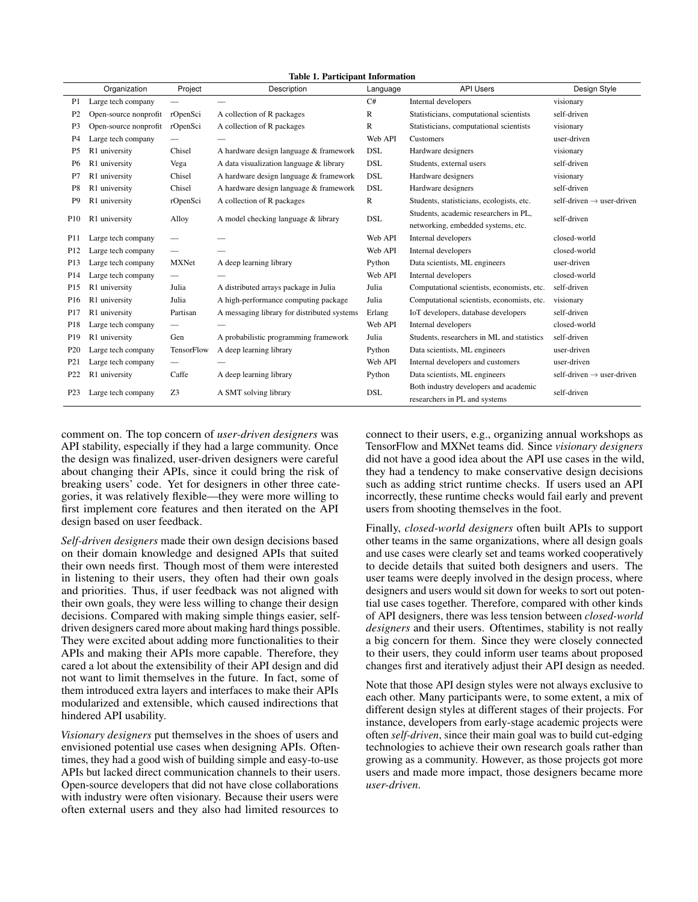<span id="page-3-0"></span>Table 1. Participant Information

|                  | Organization          | Project                  | Description                                 | Language     | <b>API Users</b>                                                       | Design Style                          |
|------------------|-----------------------|--------------------------|---------------------------------------------|--------------|------------------------------------------------------------------------|---------------------------------------|
| P1               | Large tech company    |                          |                                             | C#           | Internal developers                                                    | visionary                             |
| P <sub>2</sub>   | Open-source nonprofit | rOpenSci                 | A collection of R packages                  | $\mathbb{R}$ | Statisticians, computational scientists                                | self-driven                           |
| P <sub>3</sub>   | Open-source nonprofit | rOpenSci                 | A collection of R packages                  | $\mathbb{R}$ | Statisticians, computational scientists                                | visionary                             |
| P <sub>4</sub>   | Large tech company    |                          |                                             | Web API      | Customers                                                              | user-driven                           |
| P <sub>5</sub>   | R1 university         | Chisel                   | A hardware design language & framework      | <b>DSL</b>   | Hardware designers                                                     | visionary                             |
| P <sub>6</sub>   | R1 university         | Vega                     | A data visualization language & library     | <b>DSL</b>   | Students, external users                                               | self-driven                           |
| P <sub>7</sub>   | R1 university         | Chisel                   | A hardware design language & framework      | <b>DSL</b>   | Hardware designers                                                     | visionary                             |
| P <sub>8</sub>   | R1 university         | Chisel                   | A hardware design language & framework      | <b>DSL</b>   | Hardware designers                                                     | self-driven                           |
| P <sub>9</sub>   | R1 university         | rOpenSci                 | A collection of R packages                  | $\mathbb{R}$ | Students, statisticians, ecologists, etc.                              | self-driven $\rightarrow$ user-driven |
| P <sub>10</sub>  | R1 university         | Alloy                    | A model checking language & library         | <b>DSL</b>   | Students, academic researchers in PL,                                  | self-driven                           |
|                  |                       |                          |                                             |              | networking, embedded systems, etc.                                     |                                       |
| P11              | Large tech company    | $\overline{\phantom{0}}$ |                                             | Web API      | Internal developers                                                    | closed-world                          |
| P <sub>12</sub>  | Large tech company    | $\overline{\phantom{0}}$ |                                             | Web API      | Internal developers                                                    | closed-world                          |
| P13              | Large tech company    | <b>MXNet</b>             | A deep learning library                     | Python       | Data scientists, ML engineers                                          | user-driven                           |
| P <sub>14</sub>  | Large tech company    | $\overline{\phantom{0}}$ |                                             | Web API      | Internal developers                                                    | closed-world                          |
| P <sub>15</sub>  | R1 university         | Julia                    | A distributed arrays package in Julia       | Julia        | Computational scientists, economists, etc.                             | self-driven                           |
| P <sub>16</sub>  | R1 university         | Julia                    | A high-performance computing package        | Julia        | Computational scientists, economists, etc.                             | visionary                             |
| P17              | R1 university         | Partisan                 | A messaging library for distributed systems | Erlang       | IoT developers, database developers                                    | self-driven                           |
| P <sub>18</sub>  | Large tech company    |                          |                                             | Web API      | Internal developers                                                    | closed-world                          |
| P <sub>19</sub>  | R1 university         | Gen                      | A probabilistic programming framework       | Julia        | Students, researchers in ML and statistics                             | self-driven                           |
| P <sub>20</sub>  | Large tech company    | TensorFlow               | A deep learning library                     | Python       | Data scientists, ML engineers                                          | user-driven                           |
| P <sub>21</sub>  | Large tech company    | $\overline{\phantom{0}}$ |                                             | Web API      | Internal developers and customers                                      | user-driven                           |
| P <sub>22</sub>  | R1 university         | Caffe                    | A deep learning library                     | Python       | Data scientists, ML engineers                                          | self-driven $\rightarrow$ user-driven |
| P <sub>2</sub> 3 | Large tech company    | Z3                       | A SMT solving library                       | <b>DSL</b>   | Both industry developers and academic<br>researchers in PL and systems | self-driven                           |

comment on. The top concern of *user-driven designers* was API stability, especially if they had a large community. Once the design was finalized, user-driven designers were careful about changing their APIs, since it could bring the risk of breaking users' code. Yet for designers in other three categories, it was relatively flexible—they were more willing to first implement core features and then iterated on the API design based on user feedback.

*Self-driven designers* made their own design decisions based on their domain knowledge and designed APIs that suited their own needs first. Though most of them were interested in listening to their users, they often had their own goals and priorities. Thus, if user feedback was not aligned with their own goals, they were less willing to change their design decisions. Compared with making simple things easier, selfdriven designers cared more about making hard things possible. They were excited about adding more functionalities to their APIs and making their APIs more capable. Therefore, they cared a lot about the extensibility of their API design and did not want to limit themselves in the future. In fact, some of them introduced extra layers and interfaces to make their APIs modularized and extensible, which caused indirections that hindered API usability.

*Visionary designers* put themselves in the shoes of users and envisioned potential use cases when designing APIs. Oftentimes, they had a good wish of building simple and easy-to-use APIs but lacked direct communication channels to their users. Open-source developers that did not have close collaborations with industry were often visionary. Because their users were often external users and they also had limited resources to

connect to their users, e.g., organizing annual workshops as TensorFlow and MXNet teams did. Since *visionary designers* did not have a good idea about the API use cases in the wild, they had a tendency to make conservative design decisions such as adding strict runtime checks. If users used an API incorrectly, these runtime checks would fail early and prevent users from shooting themselves in the foot.

Finally, *closed-world designers* often built APIs to support other teams in the same organizations, where all design goals and use cases were clearly set and teams worked cooperatively to decide details that suited both designers and users. The user teams were deeply involved in the design process, where designers and users would sit down for weeks to sort out potential use cases together. Therefore, compared with other kinds of API designers, there was less tension between *closed-world designers* and their users. Oftentimes, stability is not really a big concern for them. Since they were closely connected to their users, they could inform user teams about proposed changes first and iteratively adjust their API design as needed.

Note that those API design styles were not always exclusive to each other. Many participants were, to some extent, a mix of different design styles at different stages of their projects. For instance, developers from early-stage academic projects were often *self-driven*, since their main goal was to build cut-edging technologies to achieve their own research goals rather than growing as a community. However, as those projects got more users and made more impact, those designers became more *user-driven*.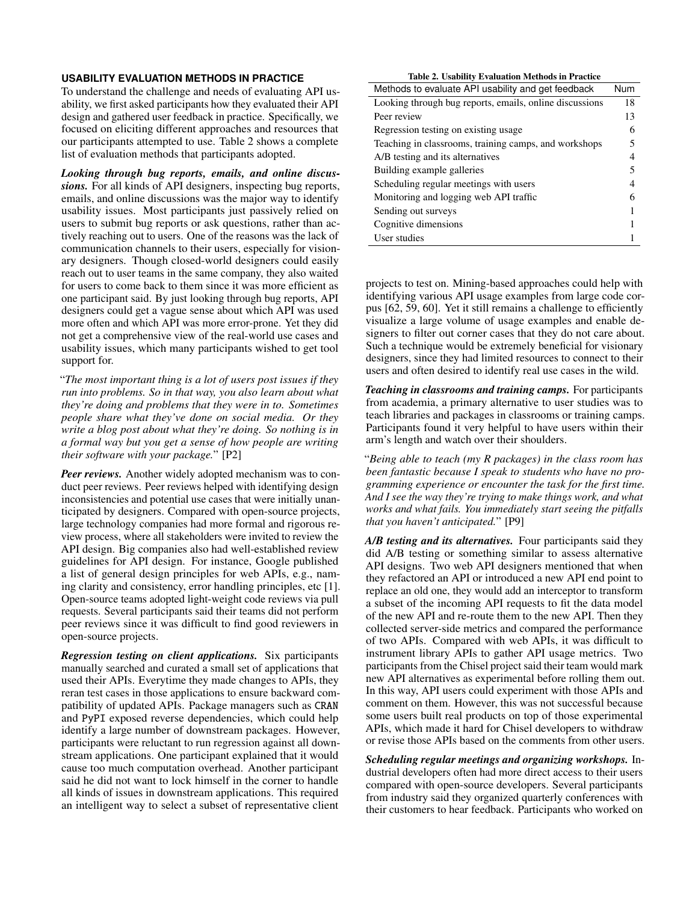## **USABILITY EVALUATION METHODS IN PRACTICE**

To understand the challenge and needs of evaluating API usability, we first asked participants how they evaluated their API design and gathered user feedback in practice. Specifically, we focused on eliciting different approaches and resources that our participants attempted to use. Table [2](#page-4-0) shows a complete list of evaluation methods that participants adopted.

*Looking through bug reports, emails, and online discussions.* For all kinds of API designers, inspecting bug reports, emails, and online discussions was the major way to identify usability issues. Most participants just passively relied on users to submit bug reports or ask questions, rather than actively reaching out to users. One of the reasons was the lack of communication channels to their users, especially for visionary designers. Though closed-world designers could easily reach out to user teams in the same company, they also waited for users to come back to them since it was more efficient as one participant said. By just looking through bug reports, API designers could get a vague sense about which API was used more often and which API was more error-prone. Yet they did not get a comprehensive view of the real-world use cases and usability issues, which many participants wished to get tool support for.

"*The most important thing is a lot of users post issues if they run into problems. So in that way, you also learn about what they're doing and problems that they were in to. Sometimes people share what they've done on social media. Or they write a blog post about what they're doing. So nothing is in a formal way but you get a sense of how people are writing their software with your package.*" [P2]

*Peer reviews.* Another widely adopted mechanism was to conduct peer reviews. Peer reviews helped with identifying design inconsistencies and potential use cases that were initially unanticipated by designers. Compared with open-source projects, large technology companies had more formal and rigorous review process, where all stakeholders were invited to review the API design. Big companies also had well-established review guidelines for API design. For instance, Google published a list of general design principles for web APIs, e.g., naming clarity and consistency, error handling principles, etc [\[1\]](#page-9-0). Open-source teams adopted light-weight code reviews via pull requests. Several participants said their teams did not perform peer reviews since it was difficult to find good reviewers in open-source projects.

*Regression testing on client applications.* Six participants manually searched and curated a small set of applications that used their APIs. Everytime they made changes to APIs, they reran test cases in those applications to ensure backward compatibility of updated APIs. Package managers such as CRAN and PyPI exposed reverse dependencies, which could help identify a large number of downstream packages. However, participants were reluctant to run regression against all downstream applications. One participant explained that it would cause too much computation overhead. Another participant said he did not want to lock himself in the corner to handle all kinds of issues in downstream applications. This required an intelligent way to select a subset of representative client

<span id="page-4-0"></span>Table 2. Usability Evaluation Methods in Practice Methods to evaluate API usability and get feedback Num Looking through bug reports, emails, online discussions 18

| Peer review                                           | 13 |  |  |
|-------------------------------------------------------|----|--|--|
| Regression testing on existing usage.                 |    |  |  |
| Teaching in classrooms, training camps, and workshops |    |  |  |
| A/B testing and its alternatives                      |    |  |  |
| Building example galleries                            |    |  |  |
| Scheduling regular meetings with users                |    |  |  |
| Monitoring and logging web API traffic                |    |  |  |
| Sending out surveys                                   |    |  |  |
| Cognitive dimensions                                  |    |  |  |
| User studies                                          |    |  |  |

projects to test on. Mining-based approaches could help with identifying various API usage examples from large code corpus [\[62,](#page-12-4) [59,](#page-12-5) [60\]](#page-12-3). Yet it still remains a challenge to efficiently visualize a large volume of usage examples and enable designers to filter out corner cases that they do not care about. Such a technique would be extremely beneficial for visionary designers, since they had limited resources to connect to their users and often desired to identify real use cases in the wild.

*Teaching in classrooms and training camps.* For participants from academia, a primary alternative to user studies was to teach libraries and packages in classrooms or training camps. Participants found it very helpful to have users within their arm's length and watch over their shoulders.

"*Being able to teach (my R packages) in the class room has been fantastic because I speak to students who have no programming experience or encounter the task for the first time. And I see the way they're trying to make things work, and what works and what fails. You immediately start seeing the pitfalls that you haven't anticipated.*" [P9]

*A/B testing and its alternatives.* Four participants said they did A/B testing or something similar to assess alternative API designs. Two web API designers mentioned that when they refactored an API or introduced a new API end point to replace an old one, they would add an interceptor to transform a subset of the incoming API requests to fit the data model of the new API and re-route them to the new API. Then they collected server-side metrics and compared the performance of two APIs. Compared with web APIs, it was difficult to instrument library APIs to gather API usage metrics. Two participants from the Chisel project said their team would mark new API alternatives as experimental before rolling them out. In this way, API users could experiment with those APIs and comment on them. However, this was not successful because some users built real products on top of those experimental APIs, which made it hard for Chisel developers to withdraw or revise those APIs based on the comments from other users.

*Scheduling regular meetings and organizing workshops.* Industrial developers often had more direct access to their users compared with open-source developers. Several participants from industry said they organized quarterly conferences with their customers to hear feedback. Participants who worked on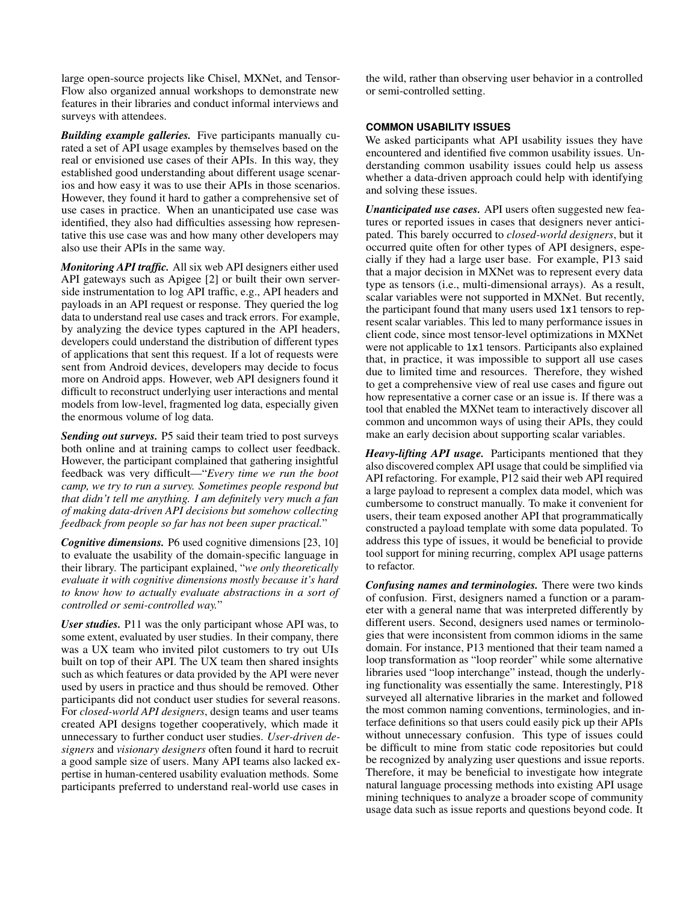large open-source projects like Chisel, MXNet, and Tensor-Flow also organized annual workshops to demonstrate new features in their libraries and conduct informal interviews and surveys with attendees.

*Building example galleries.* Five participants manually curated a set of API usage examples by themselves based on the real or envisioned use cases of their APIs. In this way, they established good understanding about different usage scenarios and how easy it was to use their APIs in those scenarios. However, they found it hard to gather a comprehensive set of use cases in practice. When an unanticipated use case was identified, they also had difficulties assessing how representative this use case was and how many other developers may also use their APIs in the same way.

*Monitoring API traffic.* All six web API designers either used API gateways such as Apigee [\[2\]](#page-10-18) or built their own serverside instrumentation to log API traffic, e.g., API headers and payloads in an API request or response. They queried the log data to understand real use cases and track errors. For example, by analyzing the device types captured in the API headers, developers could understand the distribution of different types of applications that sent this request. If a lot of requests were sent from Android devices, developers may decide to focus more on Android apps. However, web API designers found it difficult to reconstruct underlying user interactions and mental models from low-level, fragmented log data, especially given the enormous volume of log data.

*Sending out surveys.* P5 said their team tried to post surveys both online and at training camps to collect user feedback. However, the participant complained that gathering insightful feedback was very difficult—"*Every time we run the boot camp, we try to run a survey. Sometimes people respond but that didn't tell me anything. I am definitely very much a fan of making data-driven API decisions but somehow collecting feedback from people so far has not been super practical.*"

*Cognitive dimensions.* P6 used cognitive dimensions [\[23,](#page-10-19) [10\]](#page-10-3) to evaluate the usability of the domain-specific language in their library. The participant explained, "*we only theoretically evaluate it with cognitive dimensions mostly because it's hard to know how to actually evaluate abstractions in a sort of controlled or semi-controlled way.*"

*User studies.* P11 was the only participant whose API was, to some extent, evaluated by user studies. In their company, there was a UX team who invited pilot customers to try out UIs built on top of their API. The UX team then shared insights such as which features or data provided by the API were never used by users in practice and thus should be removed. Other participants did not conduct user studies for several reasons. For *closed-world API designers*, design teams and user teams created API designs together cooperatively, which made it unnecessary to further conduct user studies. *User-driven designers* and *visionary designers* often found it hard to recruit a good sample size of users. Many API teams also lacked expertise in human-centered usability evaluation methods. Some participants preferred to understand real-world use cases in

the wild, rather than observing user behavior in a controlled or semi-controlled setting.

## **COMMON USABILITY ISSUES**

We asked participants what API usability issues they have encountered and identified five common usability issues. Understanding common usability issues could help us assess whether a data-driven approach could help with identifying and solving these issues.

*Unanticipated use cases.* API users often suggested new features or reported issues in cases that designers never anticipated. This barely occurred to *closed-world designers*, but it occurred quite often for other types of API designers, especially if they had a large user base. For example, P13 said that a major decision in MXNet was to represent every data type as tensors (i.e., multi-dimensional arrays). As a result, scalar variables were not supported in MXNet. But recently, the participant found that many users used 1x1 tensors to represent scalar variables. This led to many performance issues in client code, since most tensor-level optimizations in MXNet were not applicable to 1x1 tensors. Participants also explained that, in practice, it was impossible to support all use cases due to limited time and resources. Therefore, they wished to get a comprehensive view of real use cases and figure out how representative a corner case or an issue is. If there was a tool that enabled the MXNet team to interactively discover all common and uncommon ways of using their APIs, they could make an early decision about supporting scalar variables.

*Heavy-lifting API usage.* Participants mentioned that they also discovered complex API usage that could be simplified via API refactoring. For example, P12 said their web API required a large payload to represent a complex data model, which was cumbersome to construct manually. To make it convenient for users, their team exposed another API that programmatically constructed a payload template with some data populated. To address this type of issues, it would be beneficial to provide tool support for mining recurring, complex API usage patterns to refactor.

*Confusing names and terminologies.* There were two kinds of confusion. First, designers named a function or a parameter with a general name that was interpreted differently by different users. Second, designers used names or terminologies that were inconsistent from common idioms in the same domain. For instance, P13 mentioned that their team named a loop transformation as "loop reorder" while some alternative libraries used "loop interchange" instead, though the underlying functionality was essentially the same. Interestingly, P18 surveyed all alternative libraries in the market and followed the most common naming conventions, terminologies, and interface definitions so that users could easily pick up their APIs without unnecessary confusion. This type of issues could be difficult to mine from static code repositories but could be recognized by analyzing user questions and issue reports. Therefore, it may be beneficial to investigate how integrate natural language processing methods into existing API usage mining techniques to analyze a broader scope of community usage data such as issue reports and questions beyond code. It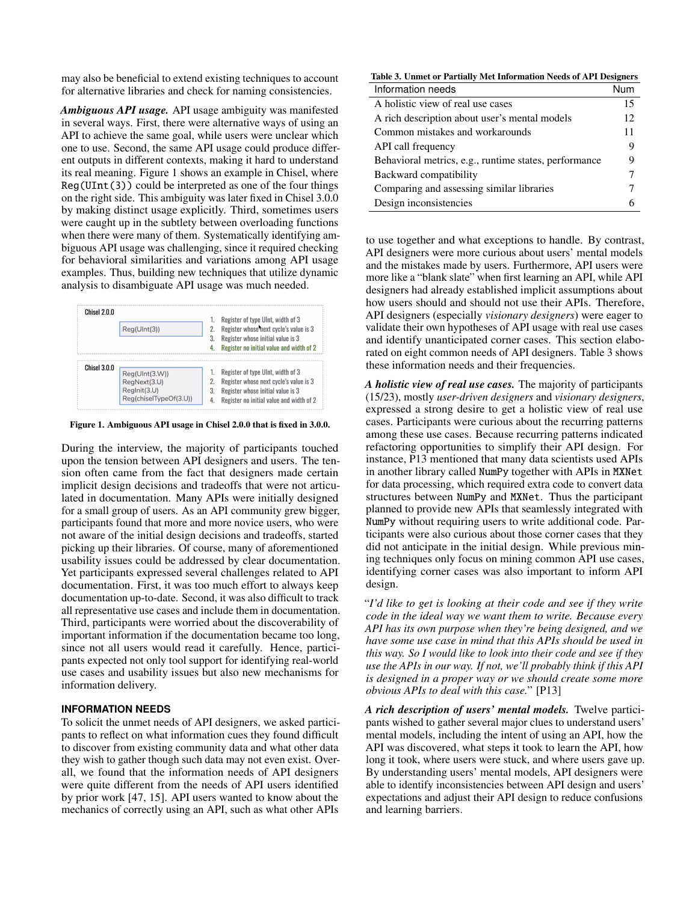may also be beneficial to extend existing techniques to account for alternative libraries and check for naming consistencies.

*Ambiguous API usage.* API usage ambiguity was manifested in several ways. First, there were alternative ways of using an API to achieve the same goal, while users were unclear which one to use. Second, the same API usage could produce different outputs in different contexts, making it hard to understand its real meaning. Figure [1](#page-6-0) shows an example in Chisel, where  $Reg(UInt(3))$  could be interpreted as one of the four things on the right side. This ambiguity was later fixed in Chisel 3.0.0 by making distinct usage explicitly. Third, sometimes users were caught up in the subtlety between overloading functions when there were many of them. Systematically identifying ambiguous API usage was challenging, since it required checking for behavioral similarities and variations among API usage examples. Thus, building new techniques that utilize dynamic analysis to disambiguate API usage was much needed.



<span id="page-6-0"></span>Figure 1. Ambiguous API usage in Chisel 2.0.0 that is fixed in 3.0.0.

During the interview, the majority of participants touched upon the tension between API designers and users. The tension often came from the fact that designers made certain implicit design decisions and tradeoffs that were not articulated in documentation. Many APIs were initially designed for a small group of users. As an API community grew bigger, participants found that more and more novice users, who were not aware of the initial design decisions and tradeoffs, started picking up their libraries. Of course, many of aforementioned usability issues could be addressed by clear documentation. Yet participants expressed several challenges related to API documentation. First, it was too much effort to always keep documentation up-to-date. Second, it was also difficult to track all representative use cases and include them in documentation. Third, participants were worried about the discoverability of important information if the documentation became too long, since not all users would read it carefully. Hence, participants expected not only tool support for identifying real-world use cases and usability issues but also new mechanisms for information delivery.

#### **INFORMATION NEEDS**

To solicit the unmet needs of API designers, we asked participants to reflect on what information cues they found difficult to discover from existing community data and what other data they wish to gather though such data may not even exist. Overall, we found that the information needs of API designers were quite different from the needs of API users identified by prior work [\[47,](#page-12-0) [15\]](#page-10-5). API users wanted to know about the mechanics of correctly using an API, such as what other APIs

<span id="page-6-1"></span>

| Table 3. Unmet or Partially Met Information Needs of API Designers |     |  |  |  |
|--------------------------------------------------------------------|-----|--|--|--|
| Information needs                                                  | Num |  |  |  |
| A holistic view of real use cases                                  | 15  |  |  |  |
| A rich description about user's mental models                      | 12  |  |  |  |
| Common mistakes and workarounds                                    | 11  |  |  |  |
| API call frequency                                                 | 9   |  |  |  |
| Behavioral metrics, e.g., runtime states, performance              | 9   |  |  |  |
| Backward compatibility                                             | 7   |  |  |  |
| Comparing and assessing similar libraries                          | 7   |  |  |  |
| Design inconsistencies                                             | 6   |  |  |  |

to use together and what exceptions to handle. By contrast, API designers were more curious about users' mental models and the mistakes made by users. Furthermore, API users were more like a "blank slate" when first learning an API, while API designers had already established implicit assumptions about how users should and should not use their APIs. Therefore, API designers (especially *visionary designers*) were eager to validate their own hypotheses of API usage with real use cases and identify unanticipated corner cases. This section elaborated on eight common needs of API designers. Table [3](#page-6-1) shows these information needs and their frequencies.

*A holistic view of real use cases.* The majority of participants (15/23), mostly *user-driven designers* and *visionary designers*, expressed a strong desire to get a holistic view of real use cases. Participants were curious about the recurring patterns among these use cases. Because recurring patterns indicated refactoring opportunities to simplify their API design. For instance, P13 mentioned that many data scientists used APIs in another library called NumPy together with APIs in MXNet for data processing, which required extra code to convert data structures between NumPy and MXNet. Thus the participant planned to provide new APIs that seamlessly integrated with NumPy without requiring users to write additional code. Participants were also curious about those corner cases that they did not anticipate in the initial design. While previous mining techniques only focus on mining common API use cases, identifying corner cases was also important to inform API design.

"*I'd like to get is looking at their code and see if they write code in the ideal way we want them to write. Because every API has its own purpose when they're being designed, and we have some use case in mind that this APIs should be used in this way. So I would like to look into their code and see if they use the APIs in our way. If not, we'll probably think if this API is designed in a proper way or we should create some more obvious APIs to deal with this case.*" [P13]

*A rich description of users' mental models.* Twelve participants wished to gather several major clues to understand users' mental models, including the intent of using an API, how the API was discovered, what steps it took to learn the API, how long it took, where users were stuck, and where users gave up. By understanding users' mental models, API designers were able to identify inconsistencies between API design and users' expectations and adjust their API design to reduce confusions and learning barriers.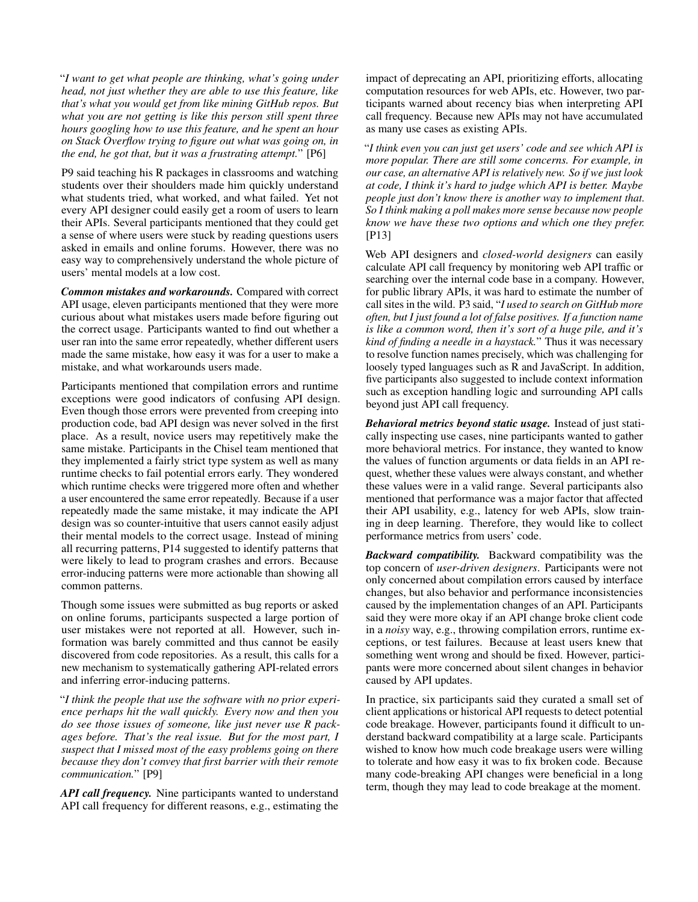"*I want to get what people are thinking, what's going under head, not just whether they are able to use this feature, like that's what you would get from like mining GitHub repos. But what you are not getting is like this person still spent three hours googling how to use this feature, and he spent an hour on Stack Overflow trying to figure out what was going on, in the end, he got that, but it was a frustrating attempt.*" [P6]

P9 said teaching his R packages in classrooms and watching students over their shoulders made him quickly understand what students tried, what worked, and what failed. Yet not every API designer could easily get a room of users to learn their APIs. Several participants mentioned that they could get a sense of where users were stuck by reading questions users asked in emails and online forums. However, there was no easy way to comprehensively understand the whole picture of users' mental models at a low cost.

*Common mistakes and workarounds.* Compared with correct API usage, eleven participants mentioned that they were more curious about what mistakes users made before figuring out the correct usage. Participants wanted to find out whether a user ran into the same error repeatedly, whether different users made the same mistake, how easy it was for a user to make a mistake, and what workarounds users made.

Participants mentioned that compilation errors and runtime exceptions were good indicators of confusing API design. Even though those errors were prevented from creeping into production code, bad API design was never solved in the first place. As a result, novice users may repetitively make the same mistake. Participants in the Chisel team mentioned that they implemented a fairly strict type system as well as many runtime checks to fail potential errors early. They wondered which runtime checks were triggered more often and whether a user encountered the same error repeatedly. Because if a user repeatedly made the same mistake, it may indicate the API design was so counter-intuitive that users cannot easily adjust their mental models to the correct usage. Instead of mining all recurring patterns, P14 suggested to identify patterns that were likely to lead to program crashes and errors. Because error-inducing patterns were more actionable than showing all common patterns.

Though some issues were submitted as bug reports or asked on online forums, participants suspected a large portion of user mistakes were not reported at all. However, such information was barely committed and thus cannot be easily discovered from code repositories. As a result, this calls for a new mechanism to systematically gathering API-related errors and inferring error-inducing patterns.

"*I think the people that use the software with no prior experience perhaps hit the wall quickly. Every now and then you do see those issues of someone, like just never use R packages before. That's the real issue. But for the most part, I suspect that I missed most of the easy problems going on there because they don't convey that first barrier with their remote communication.*" [P9]

*API call frequency.* Nine participants wanted to understand API call frequency for different reasons, e.g., estimating the

impact of deprecating an API, prioritizing efforts, allocating computation resources for web APIs, etc. However, two participants warned about recency bias when interpreting API call frequency. Because new APIs may not have accumulated as many use cases as existing APIs.

"*I think even you can just get users' code and see which API is more popular. There are still some concerns. For example, in our case, an alternative API is relatively new. So if we just look at code, I think it's hard to judge which API is better. Maybe people just don't know there is another way to implement that. So I think making a poll makes more sense because now people know we have these two options and which one they prefer.* [P13]

Web API designers and *closed-world designers* can easily calculate API call frequency by monitoring web API traffic or searching over the internal code base in a company. However, for public library APIs, it was hard to estimate the number of call sites in the wild. P3 said, "*I used to search on GitHub more often, but I just found a lot of false positives. If a function name is like a common word, then it's sort of a huge pile, and it's kind of finding a needle in a haystack.*" Thus it was necessary to resolve function names precisely, which was challenging for loosely typed languages such as R and JavaScript. In addition, five participants also suggested to include context information such as exception handling logic and surrounding API calls beyond just API call frequency.

*Behavioral metrics beyond static usage.* Instead of just statically inspecting use cases, nine participants wanted to gather more behavioral metrics. For instance, they wanted to know the values of function arguments or data fields in an API request, whether these values were always constant, and whether these values were in a valid range. Several participants also mentioned that performance was a major factor that affected their API usability, e.g., latency for web APIs, slow training in deep learning. Therefore, they would like to collect performance metrics from users' code.

*Backward compatibility.* Backward compatibility was the top concern of *user-driven designers*. Participants were not only concerned about compilation errors caused by interface changes, but also behavior and performance inconsistencies caused by the implementation changes of an API. Participants said they were more okay if an API change broke client code in a *noisy* way, e.g., throwing compilation errors, runtime exceptions, or test failures. Because at least users knew that something went wrong and should be fixed. However, participants were more concerned about silent changes in behavior caused by API updates.

In practice, six participants said they curated a small set of client applications or historical API requests to detect potential code breakage. However, participants found it difficult to understand backward compatibility at a large scale. Participants wished to know how much code breakage users were willing to tolerate and how easy it was to fix broken code. Because many code-breaking API changes were beneficial in a long term, though they may lead to code breakage at the moment.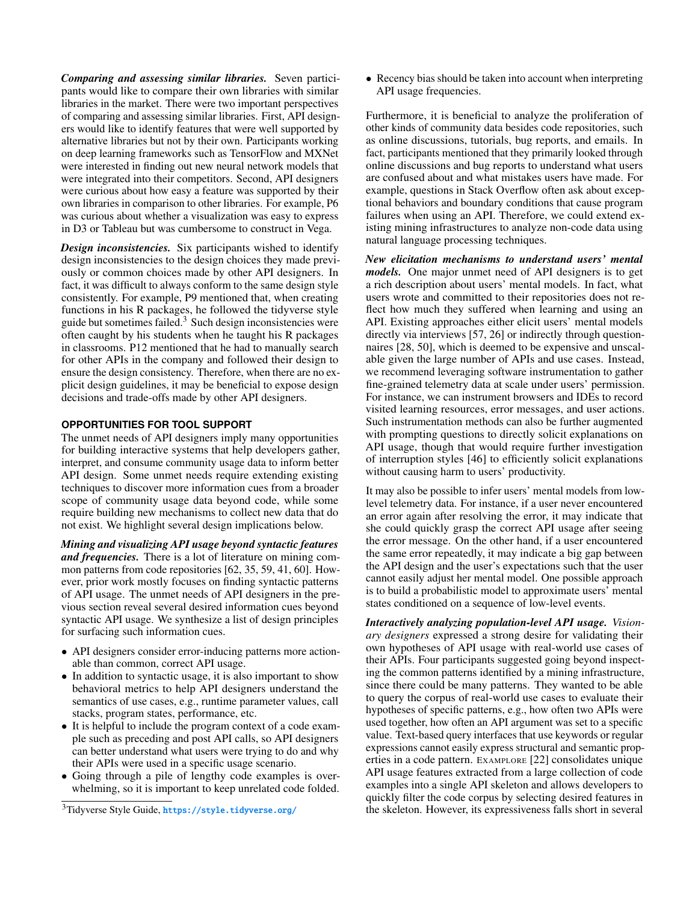*Comparing and assessing similar libraries.* Seven participants would like to compare their own libraries with similar libraries in the market. There were two important perspectives of comparing and assessing similar libraries. First, API designers would like to identify features that were well supported by alternative libraries but not by their own. Participants working on deep learning frameworks such as TensorFlow and MXNet were interested in finding out new neural network models that were integrated into their competitors. Second, API designers were curious about how easy a feature was supported by their own libraries in comparison to other libraries. For example, P6 was curious about whether a visualization was easy to express in D3 or Tableau but was cumbersome to construct in Vega.

*Design inconsistencies.* Six participants wished to identify design inconsistencies to the design choices they made previously or common choices made by other API designers. In fact, it was difficult to always conform to the same design style consistently. For example, P9 mentioned that, when creating functions in his R packages, he followed the tidyverse style guide but sometimes failed. $3$  Such design inconsistencies were often caught by his students when he taught his R packages in classrooms. P12 mentioned that he had to manually search for other APIs in the company and followed their design to ensure the design consistency. Therefore, when there are no explicit design guidelines, it may be beneficial to expose design decisions and trade-offs made by other API designers.

## **OPPORTUNITIES FOR TOOL SUPPORT**

The unmet needs of API designers imply many opportunities for building interactive systems that help developers gather, interpret, and consume community usage data to inform better API design. Some unmet needs require extending existing techniques to discover more information cues from a broader scope of community usage data beyond code, while some require building new mechanisms to collect new data that do not exist. We highlight several design implications below.

*Mining and visualizing API usage beyond syntactic features and frequencies.* There is a lot of literature on mining common patterns from code repositories [\[62,](#page-12-4) [35,](#page-11-17) [59,](#page-12-5) [41,](#page-11-8) [60\]](#page-12-3). However, prior work mostly focuses on finding syntactic patterns of API usage. The unmet needs of API designers in the previous section reveal several desired information cues beyond syntactic API usage. We synthesize a list of design principles for surfacing such information cues.

- API designers consider error-inducing patterns more actionable than common, correct API usage.
- In addition to syntactic usage, it is also important to show behavioral metrics to help API designers understand the semantics of use cases, e.g., runtime parameter values, call stacks, program states, performance, etc.
- It is helpful to include the program context of a code example such as preceding and post API calls, so API designers can better understand what users were trying to do and why their APIs were used in a specific usage scenario.
- Going through a pile of lengthy code examples is overwhelming, so it is important to keep unrelated code folded.

• Recency bias should be taken into account when interpreting API usage frequencies.

Furthermore, it is beneficial to analyze the proliferation of other kinds of community data besides code repositories, such as online discussions, tutorials, bug reports, and emails. In fact, participants mentioned that they primarily looked through online discussions and bug reports to understand what users are confused about and what mistakes users have made. For example, questions in Stack Overflow often ask about exceptional behaviors and boundary conditions that cause program failures when using an API. Therefore, we could extend existing mining infrastructures to analyze non-code data using natural language processing techniques.

*New elicitation mechanisms to understand users' mental models.* One major unmet need of API designers is to get a rich description about users' mental models. In fact, what users wrote and committed to their repositories does not reflect how much they suffered when learning and using an API. Existing approaches either elicit users' mental models directly via interviews [\[57,](#page-12-14) [26\]](#page-11-19) or indirectly through questionnaires [\[28,](#page-11-20) [50\]](#page-12-15), which is deemed to be expensive and unscalable given the large number of APIs and use cases. Instead, we recommend leveraging software instrumentation to gather fine-grained telemetry data at scale under users' permission. For instance, we can instrument browsers and IDEs to record visited learning resources, error messages, and user actions. Such instrumentation methods can also be further augmented with prompting questions to directly solicit explanations on API usage, though that would require further investigation of interruption styles [\[46\]](#page-12-16) to efficiently solicit explanations without causing harm to users' productivity.

It may also be possible to infer users' mental models from lowlevel telemetry data. For instance, if a user never encountered an error again after resolving the error, it may indicate that she could quickly grasp the correct API usage after seeing the error message. On the other hand, if a user encountered the same error repeatedly, it may indicate a big gap between the API design and the user's expectations such that the user cannot easily adjust her mental model. One possible approach is to build a probabilistic model to approximate users' mental states conditioned on a sequence of low-level events.

*Interactively analyzing population-level API usage. Visionary designers* expressed a strong desire for validating their own hypotheses of API usage with real-world use cases of their APIs. Four participants suggested going beyond inspecting the common patterns identified by a mining infrastructure, since there could be many patterns. They wanted to be able to query the corpus of real-world use cases to evaluate their hypotheses of specific patterns, e.g., how often two APIs were used together, how often an API argument was set to a specific value. Text-based query interfaces that use keywords or regular expressions cannot easily express structural and semantic properties in a code pattern. EXAMPLORE [\[22\]](#page-10-4) consolidates unique API usage features extracted from a large collection of code examples into a single API skeleton and allows developers to quickly filter the code corpus by selecting desired features in the skeleton. However, its expressiveness falls short in several

<span id="page-8-0"></span><sup>3</sup>Tidyverse Style Guide, <https://style.tidyverse.org/>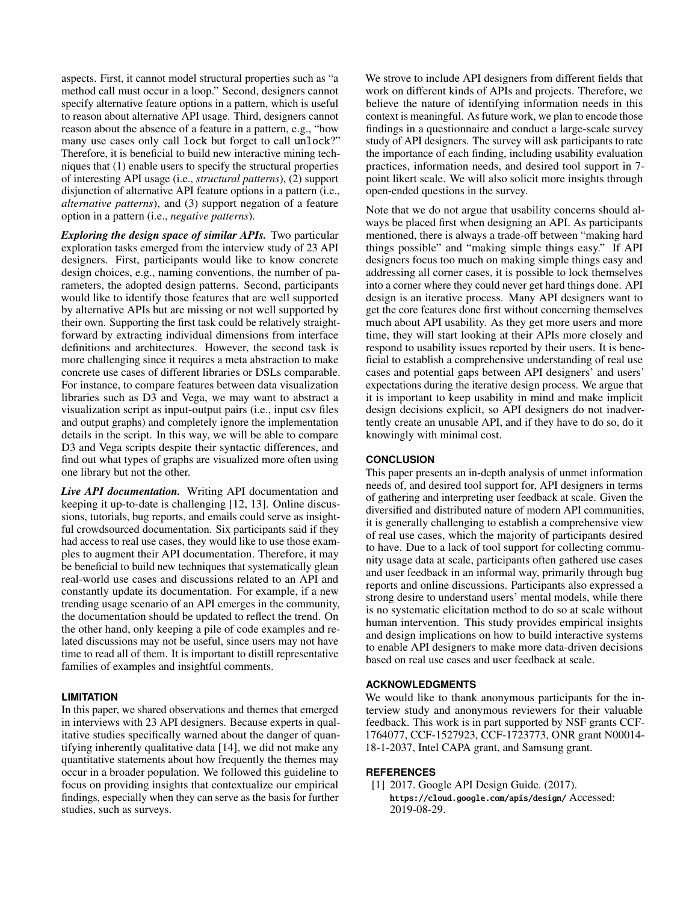aspects. First, it cannot model structural properties such as "a method call must occur in a loop." Second, designers cannot specify alternative feature options in a pattern, which is useful to reason about alternative API usage. Third, designers cannot reason about the absence of a feature in a pattern, e.g., "how many use cases only call lock but forget to call unlock?" Therefore, it is beneficial to build new interactive mining techniques that (1) enable users to specify the structural properties of interesting API usage (i.e., *structural patterns*), (2) support disjunction of alternative API feature options in a pattern (i.e., *alternative patterns*), and (3) support negation of a feature option in a pattern (i.e., *negative patterns*).

*Exploring the design space of similar APIs.* Two particular exploration tasks emerged from the interview study of 23 API designers. First, participants would like to know concrete design choices, e.g., naming conventions, the number of parameters, the adopted design patterns. Second, participants would like to identify those features that are well supported by alternative APIs but are missing or not well supported by their own. Supporting the first task could be relatively straightforward by extracting individual dimensions from interface definitions and architectures. However, the second task is more challenging since it requires a meta abstraction to make concrete use cases of different libraries or DSLs comparable. For instance, to compare features between data visualization libraries such as D3 and Vega, we may want to abstract a visualization script as input-output pairs (i.e., input csv files and output graphs) and completely ignore the implementation details in the script. In this way, we will be able to compare D3 and Vega scripts despite their syntactic differences, and find out what types of graphs are visualized more often using one library but not the other.

*Live API documentation.* Writing API documentation and keeping it up-to-date is challenging [\[12,](#page-10-20) [13\]](#page-10-21). Online discussions, tutorials, bug reports, and emails could serve as insightful crowdsourced documentation. Six participants said if they had access to real use cases, they would like to use those examples to augment their API documentation. Therefore, it may be beneficial to build new techniques that systematically glean real-world use cases and discussions related to an API and constantly update its documentation. For example, if a new trending usage scenario of an API emerges in the community, the documentation should be updated to reflect the trend. On the other hand, only keeping a pile of code examples and related discussions may not be useful, since users may not have time to read all of them. It is important to distill representative families of examples and insightful comments.

# **LIMITATION**

In this paper, we shared observations and themes that emerged in interviews with 23 API designers. Because experts in qualitative studies specifically warned about the danger of quantifying inherently qualitative data [\[14\]](#page-10-22), we did not make any quantitative statements about how frequently the themes may occur in a broader population. We followed this guideline to focus on providing insights that contextualize our empirical findings, especially when they can serve as the basis for further studies, such as surveys.

We strove to include API designers from different fields that work on different kinds of APIs and projects. Therefore, we believe the nature of identifying information needs in this context is meaningful. As future work, we plan to encode those findings in a questionnaire and conduct a large-scale survey study of API designers. The survey will ask participants to rate the importance of each finding, including usability evaluation practices, information needs, and desired tool support in 7 point likert scale. We will also solicit more insights through open-ended questions in the survey.

Note that we do not argue that usability concerns should always be placed first when designing an API. As participants mentioned, there is always a trade-off between "making hard things possible" and "making simple things easy." If API designers focus too much on making simple things easy and addressing all corner cases, it is possible to lock themselves into a corner where they could never get hard things done. API design is an iterative process. Many API designers want to get the core features done first without concerning themselves much about API usability. As they get more users and more time, they will start looking at their APIs more closely and respond to usability issues reported by their users. It is beneficial to establish a comprehensive understanding of real use cases and potential gaps between API designers' and users' expectations during the iterative design process. We argue that it is important to keep usability in mind and make implicit design decisions explicit, so API designers do not inadvertently create an unusable API, and if they have to do so, do it knowingly with minimal cost.

## **CONCLUSION**

This paper presents an in-depth analysis of unmet information needs of, and desired tool support for, API designers in terms of gathering and interpreting user feedback at scale. Given the diversified and distributed nature of modern API communities, it is generally challenging to establish a comprehensive view of real use cases, which the majority of participants desired to have. Due to a lack of tool support for collecting community usage data at scale, participants often gathered use cases and user feedback in an informal way, primarily through bug reports and online discussions. Participants also expressed a strong desire to understand users' mental models, while there is no systematic elicitation method to do so at scale without human intervention. This study provides empirical insights and design implications on how to build interactive systems to enable API designers to make more data-driven decisions based on real use cases and user feedback at scale.

## **ACKNOWLEDGMENTS**

We would like to thank anonymous participants for the interview study and anonymous reviewers for their valuable feedback. This work is in part supported by NSF grants CCF-1764077, CCF-1527923, CCF-1723773, ONR grant N00014- 18-1-2037, Intel CAPA grant, and Samsung grant.

#### <span id="page-9-0"></span>**REFERENCES**

[1] 2017. Google API Design Guide. (2017). <https://cloud.google.com/apis/design/> Accessed: 2019-08-29.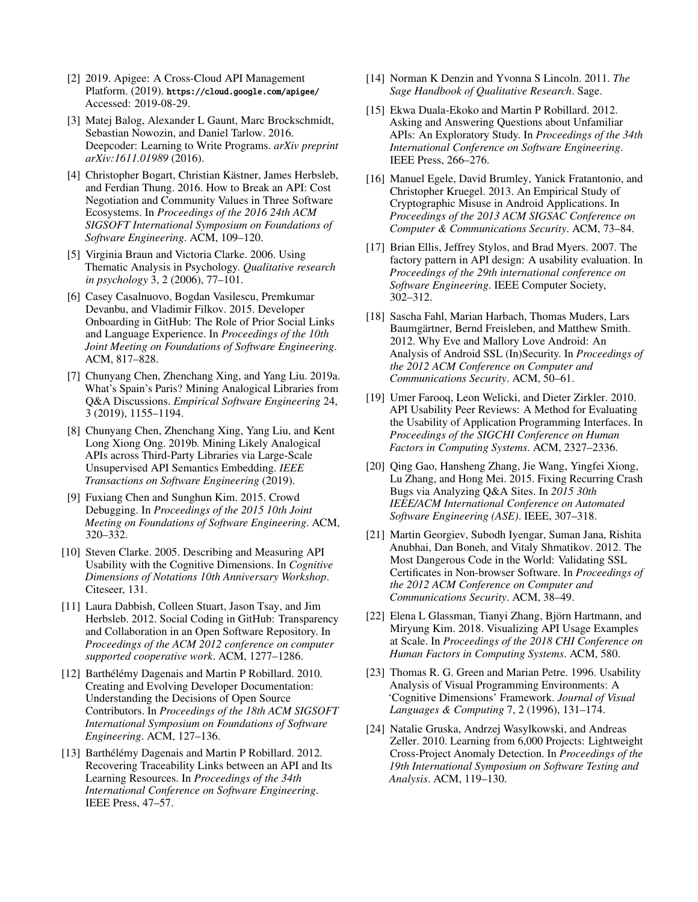- <span id="page-10-18"></span>[2] 2019. Apigee: A Cross-Cloud API Management Platform. (2019). <https://cloud.google.com/apigee/> Accessed: 2019-08-29.
- <span id="page-10-2"></span>[3] Matej Balog, Alexander L Gaunt, Marc Brockschmidt, Sebastian Nowozin, and Daniel Tarlow. 2016. Deepcoder: Learning to Write Programs. *arXiv preprint arXiv:1611.01989* (2016).
- <span id="page-10-12"></span>[4] Christopher Bogart, Christian Kästner, James Herbsleb, and Ferdian Thung. 2016. How to Break an API: Cost Negotiation and Community Values in Three Software Ecosystems. In *Proceedings of the 2016 24th ACM SIGSOFT International Symposium on Foundations of Software Engineering*. ACM, 109–120.
- <span id="page-10-17"></span>[5] Virginia Braun and Victoria Clarke. 2006. Using Thematic Analysis in Psychology. *Qualitative research in psychology* 3, 2 (2006), 77–101.
- <span id="page-10-11"></span>[6] Casey Casalnuovo, Bogdan Vasilescu, Premkumar Devanbu, and Vladimir Filkov. 2015. Developer Onboarding in GitHub: The Role of Prior Social Links and Language Experience. In *Proceedings of the 10th Joint Meeting on Foundations of Software Engineering*. ACM, 817–828.
- <span id="page-10-13"></span>[7] Chunyang Chen, Zhenchang Xing, and Yang Liu. 2019a. What's Spain's Paris? Mining Analogical Libraries from Q&A Discussions. *Empirical Software Engineering* 24, 3 (2019), 1155–1194.
- <span id="page-10-14"></span>[8] Chunyang Chen, Zhenchang Xing, Yang Liu, and Kent Long Xiong Ong. 2019b. Mining Likely Analogical APIs across Third-Party Libraries via Large-Scale Unsupervised API Semantics Embedding. *IEEE Transactions on Software Engineering* (2019).
- <span id="page-10-15"></span>[9] Fuxiang Chen and Sunghun Kim. 2015. Crowd Debugging. In *Proceedings of the 2015 10th Joint Meeting on Foundations of Software Engineering*. ACM, 320–332.
- <span id="page-10-3"></span>[10] Steven Clarke. 2005. Describing and Measuring API Usability with the Cognitive Dimensions. In *Cognitive Dimensions of Notations 10th Anniversary Workshop*. Citeseer, 131.
- <span id="page-10-10"></span>[11] Laura Dabbish, Colleen Stuart, Jason Tsay, and Jim Herbsleb. 2012. Social Coding in GitHub: Transparency and Collaboration in an Open Software Repository. In *Proceedings of the ACM 2012 conference on computer supported cooperative work*. ACM, 1277–1286.
- <span id="page-10-20"></span>[12] Barthélémy Dagenais and Martin P Robillard. 2010. Creating and Evolving Developer Documentation: Understanding the Decisions of Open Source Contributors. In *Proceedings of the 18th ACM SIGSOFT International Symposium on Foundations of Software Engineering*. ACM, 127–136.
- <span id="page-10-21"></span>[13] Barthélémy Dagenais and Martin P Robillard. 2012. Recovering Traceability Links between an API and Its Learning Resources. In *Proceedings of the 34th International Conference on Software Engineering*. IEEE Press, 47–57.
- <span id="page-10-22"></span>[14] Norman K Denzin and Yvonna S Lincoln. 2011. *The Sage Handbook of Qualitative Research*. Sage.
- <span id="page-10-5"></span>[15] Ekwa Duala-Ekoko and Martin P Robillard. 2012. Asking and Answering Questions about Unfamiliar APIs: An Exploratory Study. In *Proceedings of the 34th International Conference on Software Engineering*. IEEE Press, 266–276.
- <span id="page-10-8"></span>[16] Manuel Egele, David Brumley, Yanick Fratantonio, and Christopher Kruegel. 2013. An Empirical Study of Cryptographic Misuse in Android Applications. In *Proceedings of the 2013 ACM SIGSAC Conference on Computer & Communications Security*. ACM, 73–84.
- <span id="page-10-9"></span>[17] Brian Ellis, Jeffrey Stylos, and Brad Myers. 2007. The factory pattern in API design: A usability evaluation. In *Proceedings of the 29th international conference on Software Engineering*. IEEE Computer Society, 302–312.
- <span id="page-10-7"></span>[18] Sascha Fahl, Marian Harbach, Thomas Muders, Lars Baumgärtner, Bernd Freisleben, and Matthew Smith. 2012. Why Eve and Mallory Love Android: An Analysis of Android SSL (In)Security. In *Proceedings of the 2012 ACM Conference on Computer and Communications Security*. ACM, 50–61.
- <span id="page-10-0"></span>[19] Umer Farooq, Leon Welicki, and Dieter Zirkler. 2010. API Usability Peer Reviews: A Method for Evaluating the Usability of Application Programming Interfaces. In *Proceedings of the SIGCHI Conference on Human Factors in Computing Systems*. ACM, 2327–2336.
- <span id="page-10-16"></span>[20] Qing Gao, Hansheng Zhang, Jie Wang, Yingfei Xiong, Lu Zhang, and Hong Mei. 2015. Fixing Recurring Crash Bugs via Analyzing Q&A Sites. In *2015 30th IEEE/ACM International Conference on Automated Software Engineering (ASE)*. IEEE, 307–318.
- <span id="page-10-6"></span>[21] Martin Georgiev, Subodh Iyengar, Suman Jana, Rishita Anubhai, Dan Boneh, and Vitaly Shmatikov. 2012. The Most Dangerous Code in the World: Validating SSL Certificates in Non-browser Software. In *Proceedings of the 2012 ACM Conference on Computer and Communications Security*. ACM, 38–49.
- <span id="page-10-4"></span>[22] Elena L Glassman, Tianyi Zhang, Björn Hartmann, and Miryung Kim. 2018. Visualizing API Usage Examples at Scale. In *Proceedings of the 2018 CHI Conference on Human Factors in Computing Systems*. ACM, 580.
- <span id="page-10-19"></span>[23] Thomas R. G. Green and Marian Petre. 1996. Usability Analysis of Visual Programming Environments: A 'Cognitive Dimensions' Framework. *Journal of Visual Languages & Computing* 7, 2 (1996), 131–174.
- <span id="page-10-1"></span>[24] Natalie Gruska, Andrzej Wasylkowski, and Andreas Zeller. 2010. Learning from 6,000 Projects: Lightweight Cross-Project Anomaly Detection. In *Proceedings of the 19th International Symposium on Software Testing and Analysis*. ACM, 119–130.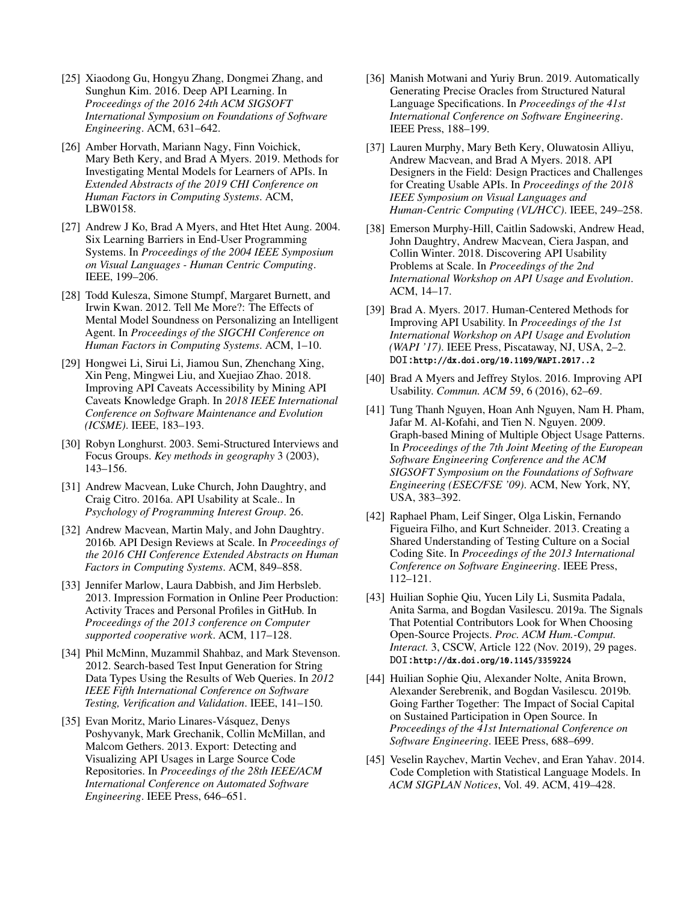- <span id="page-11-4"></span>[25] Xiaodong Gu, Hongyu Zhang, Dongmei Zhang, and Sunghun Kim. 2016. Deep API Learning. In *Proceedings of the 2016 24th ACM SIGSOFT International Symposium on Foundations of Software Engineering*. ACM, 631–642.
- <span id="page-11-19"></span>[26] Amber Horvath, Mariann Nagy, Finn Voichick, Mary Beth Kery, and Brad A Myers. 2019. Methods for Investigating Mental Models for Learners of APIs. In *Extended Abstracts of the 2019 CHI Conference on Human Factors in Computing Systems*. ACM, LBW0158.
- <span id="page-11-1"></span>[27] Andrew J Ko, Brad A Myers, and Htet Htet Aung. 2004. Six Learning Barriers in End-User Programming Systems. In *Proceedings of the 2004 IEEE Symposium on Visual Languages - Human Centric Computing*. IEEE, 199–206.
- <span id="page-11-20"></span>[28] Todd Kulesza, Simone Stumpf, Margaret Burnett, and Irwin Kwan. 2012. Tell Me More?: The Effects of Mental Model Soundness on Personalizing an Intelligent Agent. In *Proceedings of the SIGCHI Conference on Human Factors in Computing Systems*. ACM, 1–10.
- <span id="page-11-14"></span>[29] Hongwei Li, Sirui Li, Jiamou Sun, Zhenchang Xing, Xin Peng, Mingwei Liu, and Xuejiao Zhao. 2018. Improving API Caveats Accessibility by Mining API Caveats Knowledge Graph. In *2018 IEEE International Conference on Software Maintenance and Evolution (ICSME)*. IEEE, 183–193.
- <span id="page-11-18"></span>[30] Robyn Longhurst. 2003. Semi-Structured Interviews and Focus Groups. *Key methods in geography* 3 (2003), 143–156.
- <span id="page-11-9"></span>[31] Andrew Macvean, Luke Church, John Daughtry, and Craig Citro. 2016a. API Usability at Scale.. In *Psychology of Programming Interest Group*. 26.
- <span id="page-11-6"></span>[32] Andrew Macvean, Martin Maly, and John Daughtry. 2016b. API Design Reviews at Scale. In *Proceedings of the 2016 CHI Conference Extended Abstracts on Human Factors in Computing Systems*. ACM, 849–858.
- <span id="page-11-10"></span>[33] Jennifer Marlow, Laura Dabbish, and Jim Herbsleb. 2013. Impression Formation in Online Peer Production: Activity Traces and Personal Profiles in GitHub. In *Proceedings of the 2013 conference on Computer supported cooperative work*. ACM, 117–128.
- <span id="page-11-16"></span>[34] Phil McMinn, Muzammil Shahbaz, and Mark Stevenson. 2012. Search-based Test Input Generation for String Data Types Using the Results of Web Queries. In *2012 IEEE Fifth International Conference on Software Testing, Verification and Validation*. IEEE, 141–150.
- <span id="page-11-17"></span>[35] Evan Moritz, Mario Linares-Vásquez, Denys Poshyvanyk, Mark Grechanik, Collin McMillan, and Malcom Gethers. 2013. Export: Detecting and Visualizing API Usages in Large Source Code Repositories. In *Proceedings of the 28th IEEE/ACM International Conference on Automated Software Engineering*. IEEE Press, 646–651.
- <span id="page-11-15"></span>[36] Manish Motwani and Yuriy Brun. 2019. Automatically Generating Precise Oracles from Structured Natural Language Specifications. In *Proceedings of the 41st International Conference on Software Engineering*. IEEE Press, 188–199.
- <span id="page-11-3"></span>[37] Lauren Murphy, Mary Beth Kery, Oluwatosin Alliyu, Andrew Macvean, and Brad A Myers. 2018. API Designers in the Field: Design Practices and Challenges for Creating Usable APIs. In *Proceedings of the 2018 IEEE Symposium on Visual Languages and Human-Centric Computing (VL/HCC)*. IEEE, 249–258.
- <span id="page-11-7"></span>[38] Emerson Murphy-Hill, Caitlin Sadowski, Andrew Head, John Daughtry, Andrew Macvean, Ciera Jaspan, and Collin Winter. 2018. Discovering API Usability Problems at Scale. In *Proceedings of the 2nd International Workshop on API Usage and Evolution*. ACM, 14–17.
- <span id="page-11-2"></span>[39] Brad A. Myers. 2017. Human-Centered Methods for Improving API Usability. In *Proceedings of the 1st International Workshop on API Usage and Evolution (WAPI '17)*. IEEE Press, Piscataway, NJ, USA, 2–2. DOI:<http://dx.doi.org/10.1109/WAPI.2017..2>
- <span id="page-11-0"></span>[40] Brad A Myers and Jeffrey Stylos. 2016. Improving API Usability. *Commun. ACM* 59, 6 (2016), 62–69.
- <span id="page-11-8"></span>[41] Tung Thanh Nguyen, Hoan Anh Nguyen, Nam H. Pham, Jafar M. Al-Kofahi, and Tien N. Nguyen. 2009. Graph-based Mining of Multiple Object Usage Patterns. In *Proceedings of the 7th Joint Meeting of the European Software Engineering Conference and the ACM SIGSOFT Symposium on the Foundations of Software Engineering (ESEC/FSE '09)*. ACM, New York, NY, USA, 383–392.
- <span id="page-11-11"></span>[42] Raphael Pham, Leif Singer, Olga Liskin, Fernando Figueira Filho, and Kurt Schneider. 2013. Creating a Shared Understanding of Testing Culture on a Social Coding Site. In *Proceedings of the 2013 International Conference on Software Engineering*. IEEE Press, 112–121.
- <span id="page-11-13"></span>[43] Huilian Sophie Qiu, Yucen Lily Li, Susmita Padala, Anita Sarma, and Bogdan Vasilescu. 2019a. The Signals That Potential Contributors Look for When Choosing Open-Source Projects. *Proc. ACM Hum.-Comput. Interact.* 3, CSCW, Article 122 (Nov. 2019), 29 pages. DOI:<http://dx.doi.org/10.1145/3359224>
- <span id="page-11-12"></span>[44] Huilian Sophie Qiu, Alexander Nolte, Anita Brown, Alexander Serebrenik, and Bogdan Vasilescu. 2019b. Going Farther Together: The Impact of Social Capital on Sustained Participation in Open Source. In *Proceedings of the 41st International Conference on Software Engineering*. IEEE Press, 688–699.
- <span id="page-11-5"></span>[45] Veselin Raychev, Martin Vechev, and Eran Yahav. 2014. Code Completion with Statistical Language Models. In *ACM SIGPLAN Notices*, Vol. 49. ACM, 419–428.